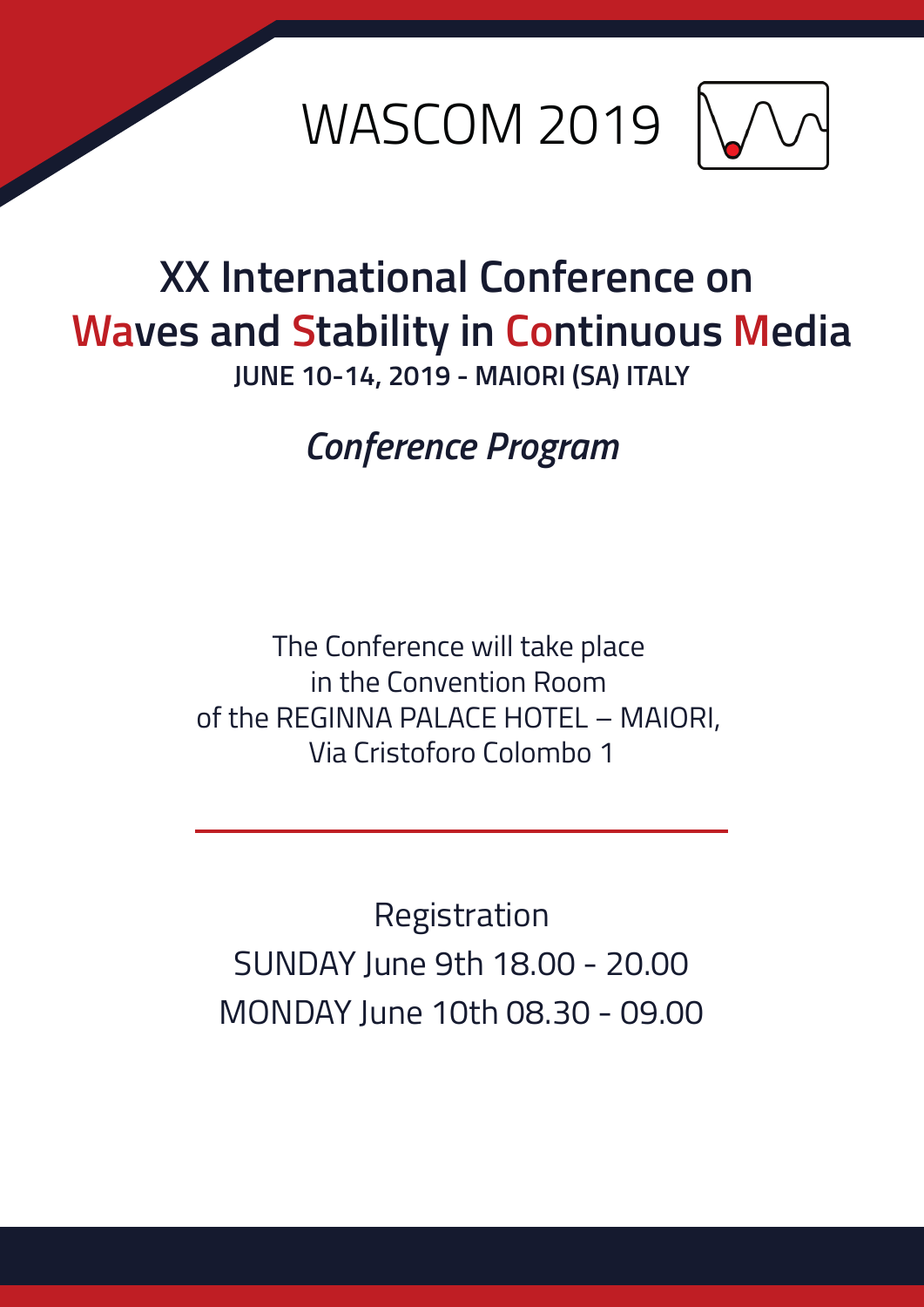



## **XX International Conference on Waves and Stability in Continuous Media**

**JUNE 10-14, 2019 - MAIORI (SA) ITALY**

*Conference Program*

The Conference will take place in the Convention Room of the REGINNA PALACE HOTEL – MAIORI, Via Cristoforo Colombo 1

Registration SUNDAY June 9th 18.00 - 20.00 MONDAY June 10th 08.30 - 09.00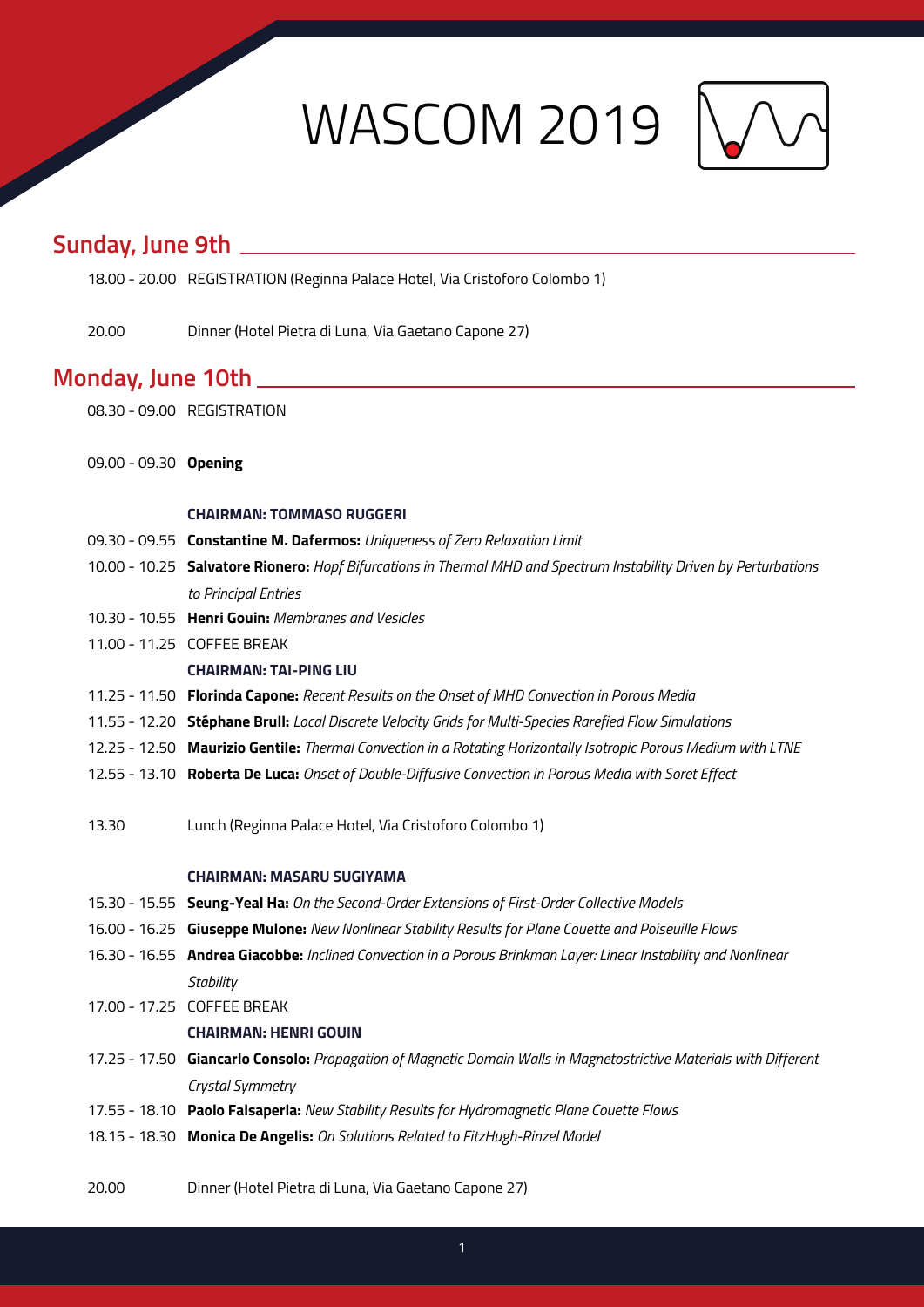WASCOM 2019



## **Sunday, June 9th**

- 18.00 20.00 REGISTRATION (Reginna Palace Hotel, Via Cristoforo Colombo 1)
- 20.00 Dinner (Hotel Pietra di Luna, Via Gaetano Capone 27)

### **Monday, June 10th**

- 08.30 09.00 REGISTRATION
- 09.00 09.30 **Opening**

#### **CHAIRMAN: TOMMASO RUGGERI**

- 09.30 09.55 **Constantine M. Dafermos:** *Uniqueness of Zero Relaxation Limit*
- 10.00 10.25 **Salvatore Rionero:** *Hopf Bifurcations in Thermal MHD and Spectrum Instability Driven by Perturbations to Principal Entries*
- 10.30 10.55 **Henri Gouin:** *Membranes and Vesicles*
- 11.00 11.25 COFFEE BREAK

### **CHAIRMAN: TAI-PING LIU**

- 11.25 11.50 **Florinda Capone:** *Recent Results on the Onset of MHD Convection in Porous Media*
- 11.55 12.20 **Stéphane Brull:** *Local Discrete Velocity Grids for Multi-Species Rarefied Flow Simulations*
- 12.25 12.50 **Maurizio Gentile:** *Thermal Convection in a Rotating Horizontally Isotropic Porous Medium with LTNE*
- 12.55 13.10 **Roberta De Luca:** *Onset of Double-Diffusive Convection in Porous Media with Soret Effect*
- 13.30 Lunch (Reginna Palace Hotel, Via Cristoforo Colombo 1)

#### **CHAIRMAN: MASARU SUGIYAMA**

- 15.30 15.55 **Seung-Yeal Ha:** *On the Second-Order Extensions of First-Order Collective Models*
- 16.00 16.25 **Giuseppe Mulone:** *New Nonlinear Stability Results for Plane Couette and Poiseuille Flows*
- 16.30 16.55 **Andrea Giacobbe:** *Inclined Convection in a Porous Brinkman Layer: Linear Instability and Nonlinear Stability*
- 17.00 17.25 COFFEE BREAK

#### **CHAIRMAN: HENRI GOUIN**

- 17.25 17.50 **Giancarlo Consolo:** *Propagation of Magnetic Domain Walls in Magnetostrictive Materials with Different Crystal Symmetry*
- 17.55 18.10 **Paolo Falsaperla:** *New Stability Results for Hydromagnetic Plane Couette Flows*
- 18.15 18.30 **Monica De Angelis:** *On Solutions Related to FitzHugh-Rinzel Model*
- 20.00 Dinner (Hotel Pietra di Luna, Via Gaetano Capone 27)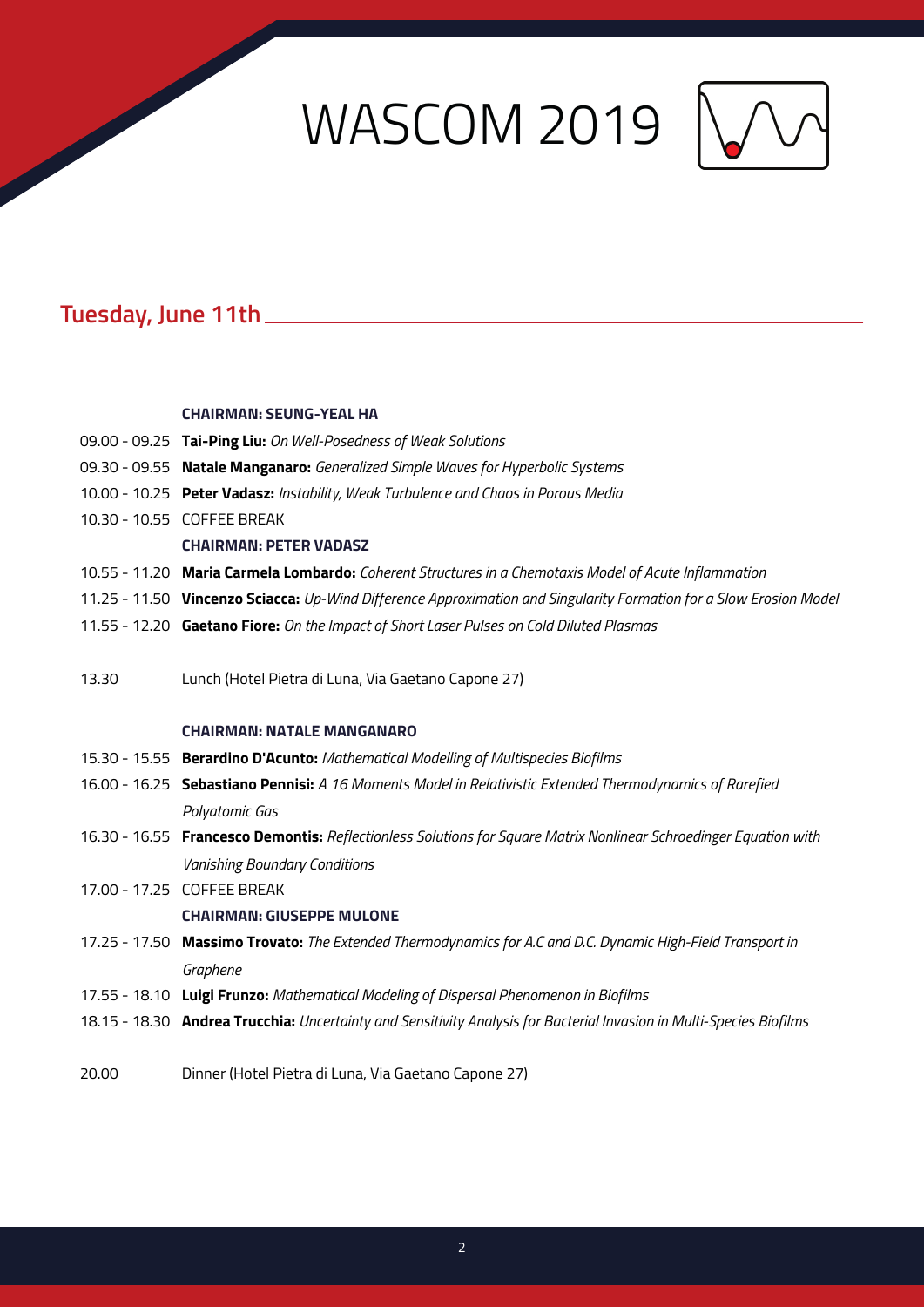## **WASCOM 2019** \\



## **Tuesday, June 11th**

#### **CHAIRMAN: SEUNG-YEAL HA**

|       | 09.00 - 09.25 Tai-Ping Liu: On Well-Posedness of Weak Solutions                                                      |
|-------|----------------------------------------------------------------------------------------------------------------------|
|       | 09.30 - 09.55 Natale Manganaro: Generalized Simple Waves for Hyperbolic Systems                                      |
|       | 10.00 - 10.25 Peter Vadasz: Instability, Weak Turbulence and Chaos in Porous Media                                   |
|       | 10.30 - 10.55 COFFEE BREAK                                                                                           |
|       | <b>CHAIRMAN: PETER VADASZ</b>                                                                                        |
|       | 10.55 - 11.20 Maria Carmela Lombardo: Coherent Structures in a Chemotaxis Model of Acute Inflammation                |
|       | 11.25 - 11.50 Vincenzo Sciacca: Up-Wind Difference Approximation and Singularity Formation for a Slow Erosion Model  |
|       | 11.55 - 12.20 Gaetano Fiore: On the Impact of Short Laser Pulses on Cold Diluted Plasmas                             |
|       |                                                                                                                      |
| 13.30 | Lunch (Hotel Pietra di Luna, Via Gaetano Capone 27)                                                                  |
|       |                                                                                                                      |
|       | <b>CHAIRMAN: NATALE MANGANARO</b>                                                                                    |
|       | 15.30 - 15.55 Berardino D'Acunto: Mathematical Modelling of Multispecies Biofilms                                    |
|       | 16.00 - 16.25 Sebastiano Pennisi: A 16 Moments Model in Relativistic Extended Thermodynamics of Rarefied             |
|       | Polyatomic Gas                                                                                                       |
|       | 16.30 - 16.55 Francesco Demontis: Reflectionless Solutions for Square Matrix Nonlinear Schroedinger Equation with    |
|       | <b>Vanishing Boundary Conditions</b>                                                                                 |
|       | 17.00 - 17.25 COFFEE BREAK                                                                                           |
|       | <b>CHAIRMAN: GIUSEPPE MULONE</b>                                                                                     |
|       | 17.25 - 17.50 Massimo Trovato: The Extended Thermodynamics for A.C and D.C. Dynamic High-Field Transport in          |
|       | Graphene                                                                                                             |
|       | 17.55 - 18.10 Luigi Frunzo: Mathematical Modeling of Dispersal Phenomenon in Biofilms                                |
|       | 18.15 - 18.30 Andrea Trucchia: Uncertainty and Sensitivity Analysis for Bacterial Invasion in Multi-Species Biofilms |
|       |                                                                                                                      |

20.00 Dinner (Hotel Pietra di Luna, Via Gaetano Capone 27)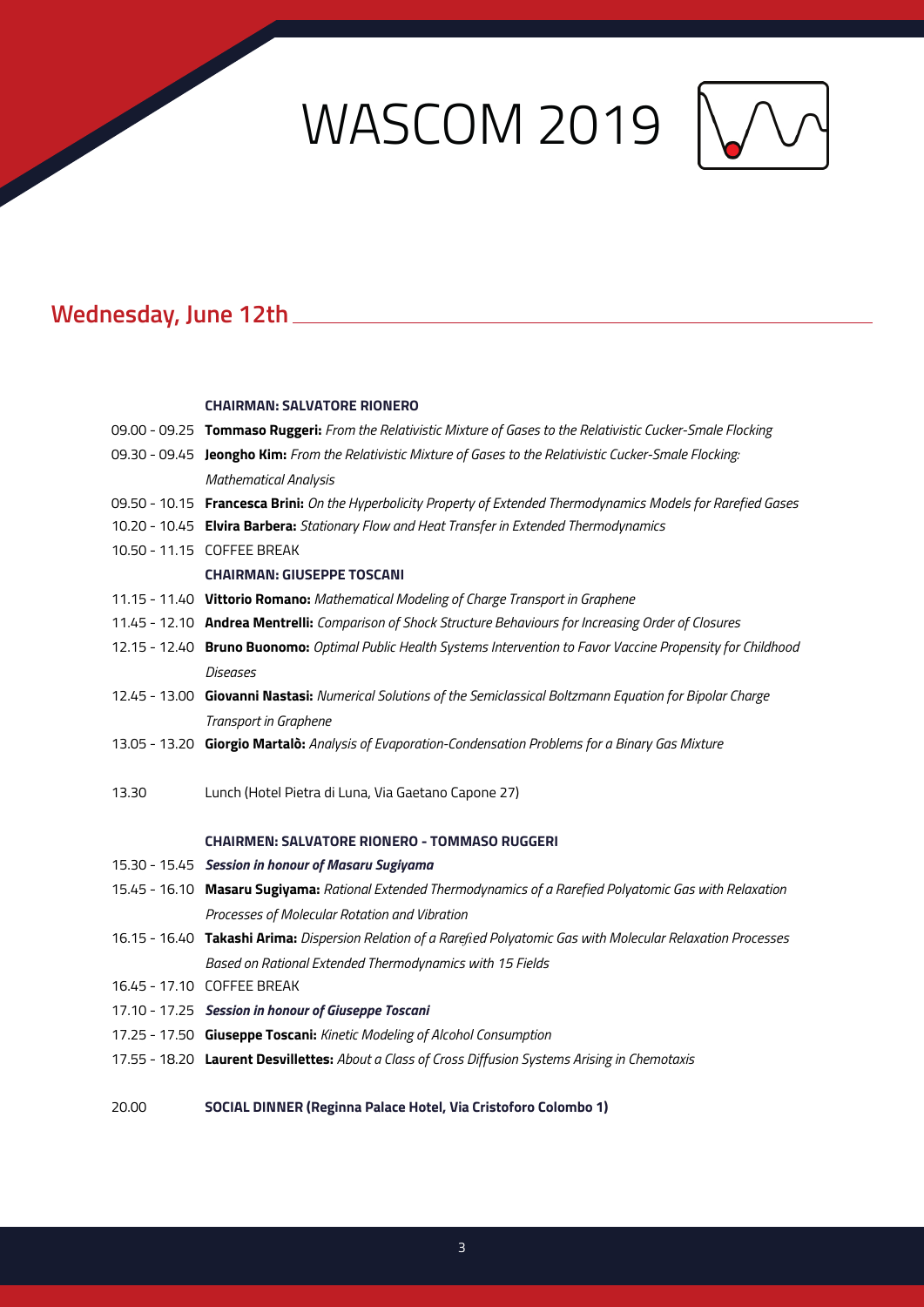# WASCOM 2019 N



## **Wednesday, June 12th**

#### **CHAIRMAN: SALVATORE RIONERO**

|       | 09.00 - 09.25 Tommaso Ruggeri: From the Relativistic Mixture of Gases to the Relativistic Cucker-Smale Flocking   |
|-------|-------------------------------------------------------------------------------------------------------------------|
|       | 09.30 - 09.45 Jeongho Kim: From the Relativistic Mixture of Gases to the Relativistic Cucker-Smale Flocking:      |
|       | <b>Mathematical Analysis</b>                                                                                      |
|       | 09.50 - 10.15 Francesca Brini: On the Hyperbolicity Property of Extended Thermodynamics Models for Rarefied Gases |
|       | 10.20 - 10.45 Elvira Barbera: Stationary Flow and Heat Transfer in Extended Thermodynamics                        |
|       | 10.50 - 11.15 COFFEE BREAK                                                                                        |
|       | <b>CHAIRMAN: GIUSEPPE TOSCANI</b>                                                                                 |
|       | 11.15 - 11.40 Vittorio Romano: Mathematical Modeling of Charge Transport in Graphene                              |
|       | 11.45 - 12.10 Andrea Mentrelli: Comparison of Shock Structure Behaviours for Increasing Order of Closures         |
|       | 12.15 - 12.40 Bruno Buonomo: Optimal Public Health Systems Intervention to Favor Vaccine Propensity for Childhood |
|       | <b>Diseases</b>                                                                                                   |
|       | 12.45 - 13.00 Giovanni Nastasi: Numerical Solutions of the Semiclassical Boltzmann Equation for Bipolar Charge    |
|       | Transport in Graphene                                                                                             |
|       | 13.05 - 13.20 Giorgio Martalo: Analysis of Evaporation-Condensation Problems for a Binary Gas Mixture             |
|       |                                                                                                                   |
| 13.30 | Lunch (Hotel Pietra di Luna, Via Gaetano Capone 27)                                                               |
|       |                                                                                                                   |
|       | <b>CHAIRMEN: SALVATORE RIONERO - TOMMASO RUGGERI</b>                                                              |
|       | 15.30 - 15.45 Session in honour of Masaru Sugiyama                                                                |
|       | 15.45 - 16.10 Masaru Sugiyama: Rational Extended Thermodynamics of a Rarefied Polyatomic Gas with Relaxation      |
|       | Processes of Molecular Rotation and Vibration                                                                     |
|       | 16.15 - 16.40 Takashi Arima: Dispersion Relation of a Rarefied Polyatomic Gas with Molecular Relaxation Processes |
|       | Based on Rational Extended Thermodynamics with 15 Fields                                                          |
|       | 16.45 - 17.10 COFFEE BREAK                                                                                        |
|       | 17.10 - 17.25 Session in honour of Giuseppe Toscani                                                               |
|       | 17.25 - 17.50 Giuseppe Toscani: Kinetic Modeling of Alcohol Consumption                                           |
|       | 17.55 - 18.20 Laurent Desvillettes: About a Class of Cross Diffusion Systems Arising in Chemotaxis                |
|       |                                                                                                                   |
| 20.00 | SOCIAL DINNER (Reginna Palace Hotel, Via Cristoforo Colombo 1)                                                    |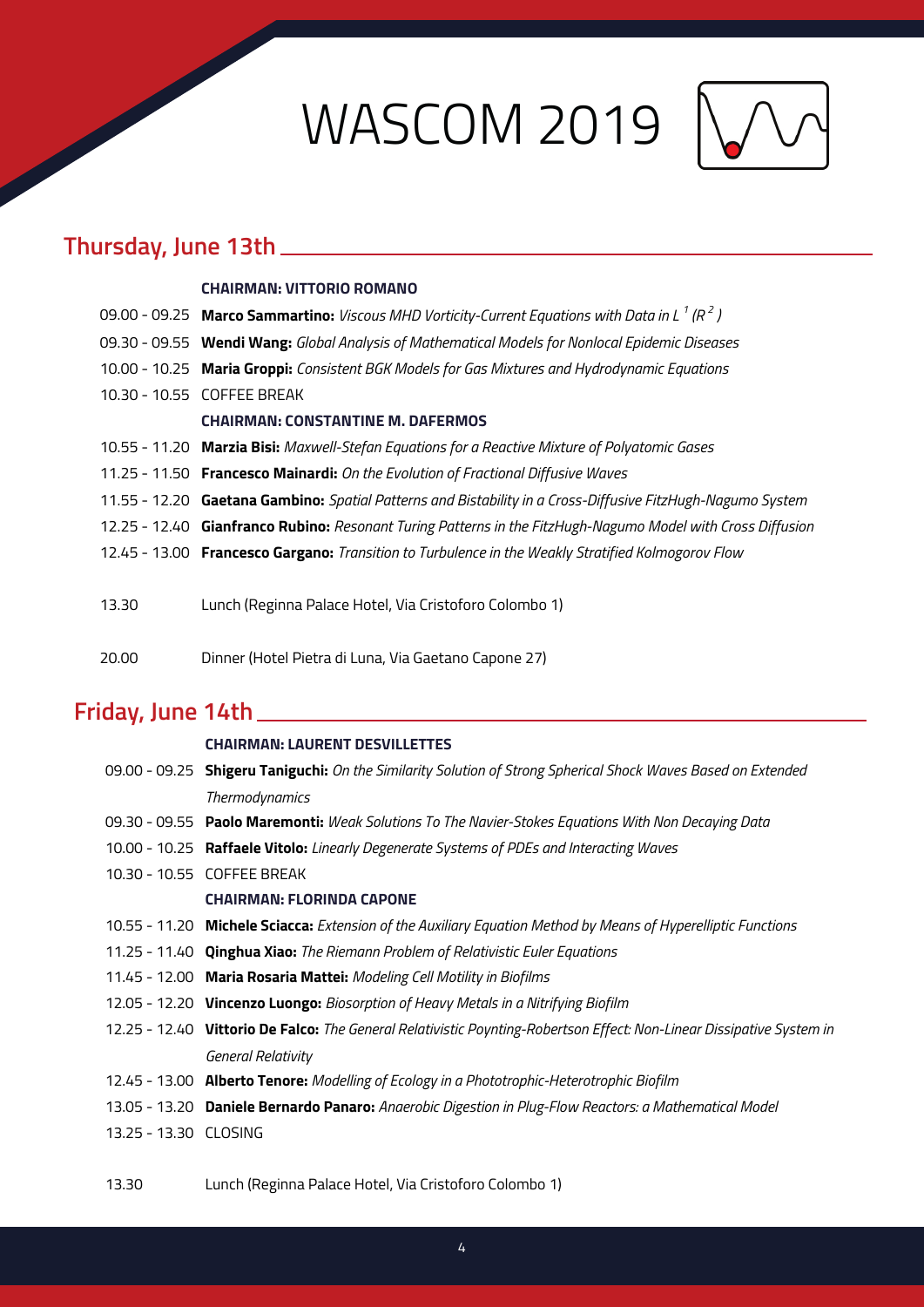WASCOM 2019



## **Thursday, June 13th**

#### **CHAIRMAN: VITTORIO ROMANO**

|       | 09.00 - 09.25 Marco Sammartino: <i>Viscous MHD Vorticity-Current Equations with Data in L<sup>1</sup> (<math>R^2</math>)</i> |
|-------|------------------------------------------------------------------------------------------------------------------------------|
|       | 09.30 - 09.55 Wendi Wang: Global Analysis of Mathematical Models for Nonlocal Epidemic Diseases                              |
|       | 10.00 - 10.25 Maria Groppi: Consistent BGK Models for Gas Mixtures and Hydrodynamic Equations                                |
|       | 10.30 - 10.55 COFFEE BREAK                                                                                                   |
|       | <b>CHAIRMAN: CONSTANTINE M. DAFERMOS</b>                                                                                     |
|       | 10.55 - 11.20 Marzia Bisi: Maxwell-Stefan Equations for a Reactive Mixture of Polyatomic Gases                               |
|       | 11.25 - 11.50 Francesco Mainardi: On the Evolution of Fractional Diffusive Waves                                             |
|       | 11.55 - 12.20 Gaetana Gambino: Spatial Patterns and Bistability in a Cross-Diffusive FitzHugh-Nagumo System                  |
|       | 12.25 - 12.40 Gianfranco Rubino: Resonant Turing Patterns in the FitzHugh-Nagumo Model with Cross Diffusion                  |
|       | 12.45 - 13.00 Francesco Gargano: Transition to Turbulence in the Weakly Stratified Kolmogorov Flow                           |
|       |                                                                                                                              |
| 13.30 | Lunch (Reginna Palace Hotel, Via Cristoforo Colombo 1)                                                                       |
|       |                                                                                                                              |
| 20,00 | Dinner (Hotel Pietra di Luna, Via Gaetano Capone 27)                                                                         |

## **Friday, June 14th**

|                       | <b>CHAIRMAN: LAURENT DESVILLETTES</b>                                                                                 |
|-----------------------|-----------------------------------------------------------------------------------------------------------------------|
|                       | 09.00 - 09.25 Shigeru Taniguchi: On the Similarity Solution of Strong Spherical Shock Waves Based on Extended         |
|                       | Thermodynamics                                                                                                        |
|                       | 09.30 - 09.55 Paolo Maremonti: Weak Solutions To The Navier-Stokes Equations With Non Decaying Data                   |
|                       | 10.00 - 10.25 Raffaele Vitolo: Linearly Degenerate Systems of PDEs and Interacting Waves                              |
|                       | 10.30 - 10.55 COFFEE BREAK                                                                                            |
|                       | <b>CHAIRMAN: FLORINDA CAPONE</b>                                                                                      |
|                       | 10.55 - 11.20 Michele Sciacca: Extension of the Auxiliary Equation Method by Means of Hyperelliptic Functions         |
|                       | 11.25 - 11.40 Qinghua Xiao: The Riemann Problem of Relativistic Euler Equations                                       |
|                       | 11.45 - 12.00 Maria Rosaria Mattei: Modeling Cell Motility in Biofilms                                                |
|                       | 12.05 - 12.20 Vincenzo Luongo: Biosorption of Heavy Metals in a Nitrifying Biofilm                                    |
|                       | 12.25 - 12.40 Vittorio De Falco: The General Relativistic Poynting-Robertson Effect: Non-Linear Dissipative System in |
|                       | General Relativity                                                                                                    |
|                       | 12.45 - 13.00 Alberto Tenore: Modelling of Ecology in a Phototrophic-Heterotrophic Biofilm                            |
|                       | 13.05 - 13.20 Daniele Bernardo Panaro: Anaerobic Digestion in Plug-Flow Reactors: a Mathematical Model                |
| 13.25 - 13.30 CLOSING |                                                                                                                       |
|                       |                                                                                                                       |

13.30 Lunch (Reginna Palace Hotel, Via Cristoforo Colombo 1)